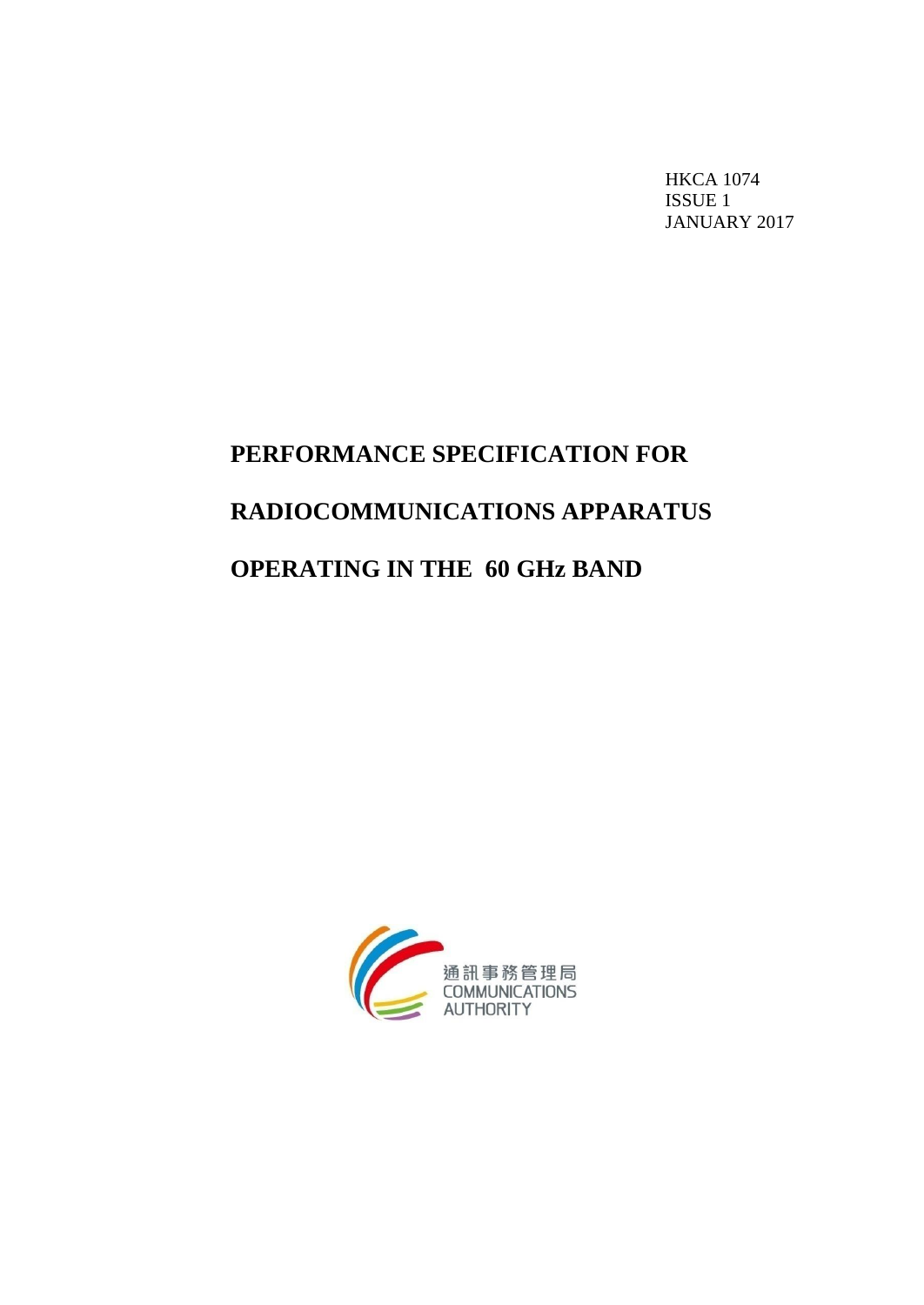HKCA 1074 ISSUE 1 JANUARY 2017

# **PERFORMANCE SPECIFICATION FOR RADIOCOMMUNICATIONS APPARATUS OPERATING IN THE 60 GHz BAND**

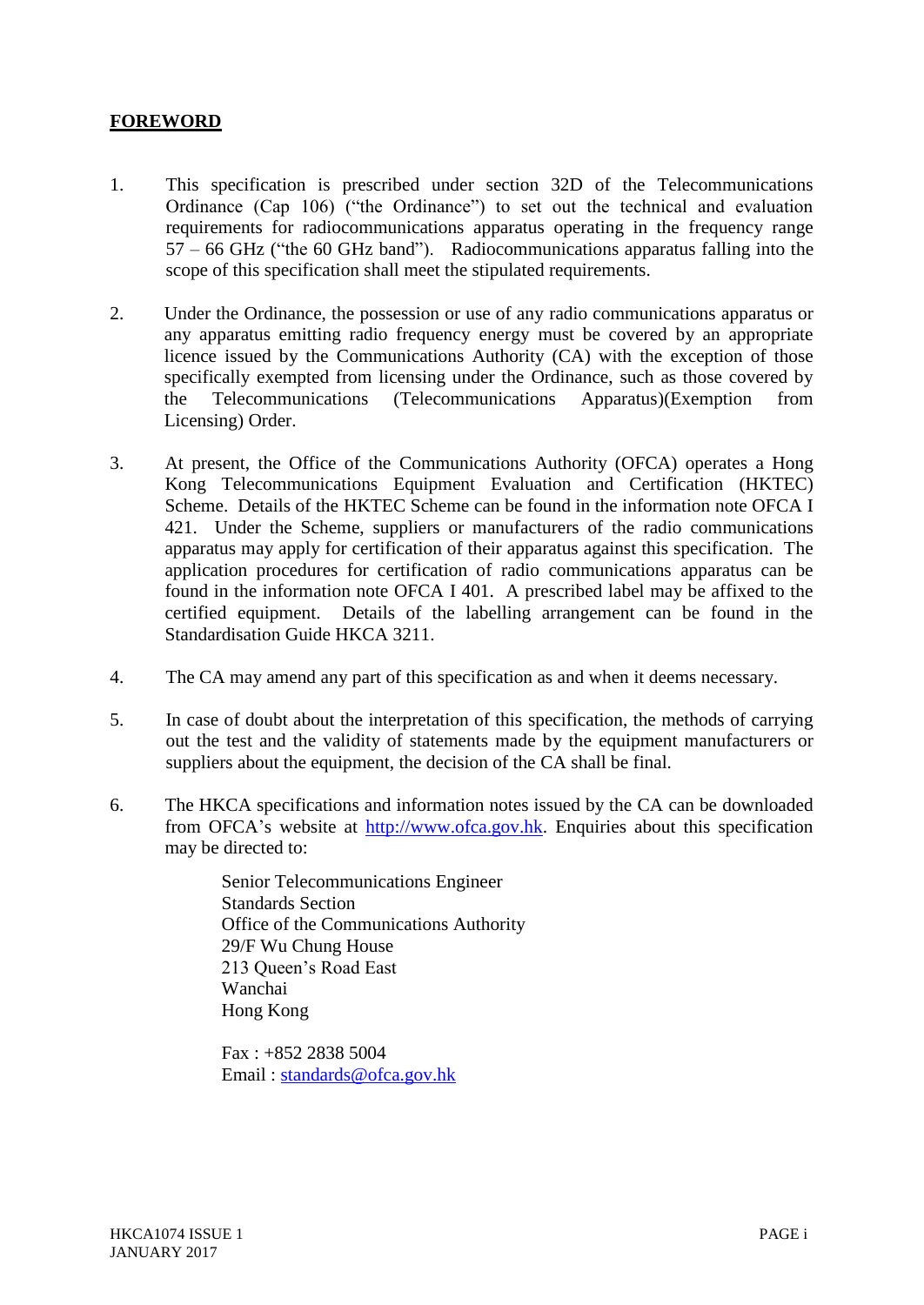## **FOREWORD**

- 1. This specification is prescribed under section 32D of the Telecommunications Ordinance (Cap 106) ("the Ordinance") to set out the technical and evaluation requirements for radiocommunications apparatus operating in the frequency range 57 – 66 GHz ("the 60 GHz band"). Radiocommunications apparatus falling into the scope of this specification shall meet the stipulated requirements.
- 2. Under the Ordinance, the possession or use of any radio communications apparatus or any apparatus emitting radio frequency energy must be covered by an appropriate licence issued by the Communications Authority (CA) with the exception of those specifically exempted from licensing under the Ordinance, such as those covered by the Telecommunications (Telecommunications Apparatus)(Exemption from Licensing) Order.
- 3. At present, the Office of the Communications Authority (OFCA) operates a Hong Kong Telecommunications Equipment Evaluation and Certification (HKTEC) Scheme. Details of the HKTEC Scheme can be found in the information note OFCA I 421. Under the Scheme, suppliers or manufacturers of the radio communications apparatus may apply for certification of their apparatus against this specification. The application procedures for certification of radio communications apparatus can be found in the information note OFCA I 401. A prescribed label may be affixed to the certified equipment. Details of the labelling arrangement can be found in the Standardisation Guide HKCA 3211.
- 4. The CA may amend any part of this specification as and when it deems necessary.
- 5. In case of doubt about the interpretation of this specification, the methods of carrying out the test and the validity of statements made by the equipment manufacturers or suppliers about the equipment, the decision of the CA shall be final.
- 6. The HKCA specifications and information notes issued by the CA can be downloaded from OFCA's website at [http://www.ofca.gov.hk.](http://www.ofca.gov.hk/) Enquiries about this specification may be directed to:

Senior Telecommunications Engineer Standards Section Office of the Communications Authority 29/F Wu Chung House 213 Queen's Road East Wanchai Hong Kong

Fax : +852 2838 5004 Email : [standards@ofca.gov.hk](file:///C:/hkca1074/standards@ofca.gov.hk)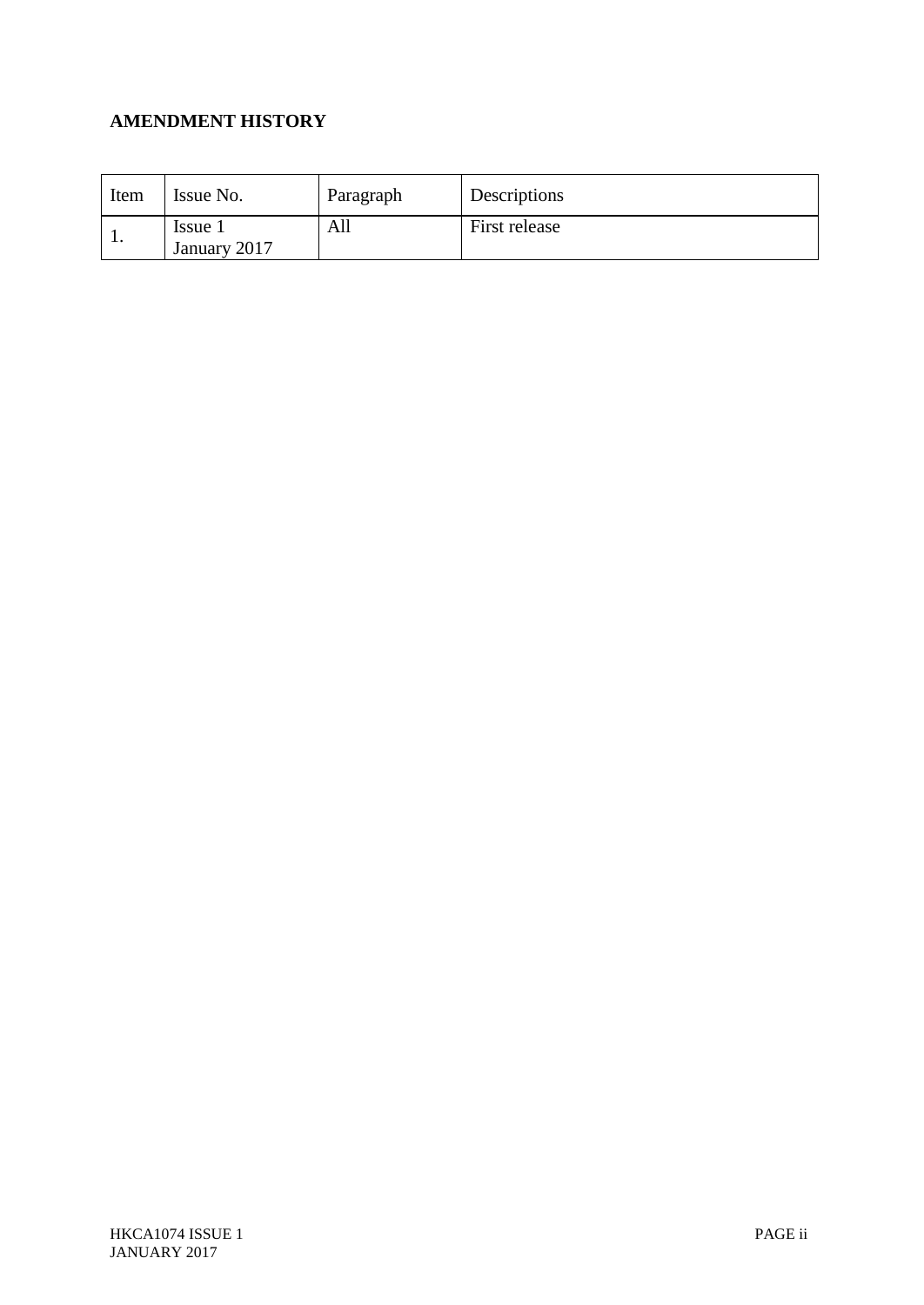# **AMENDMENT HISTORY**

| Item    | Issue No.               | Paragraph | Descriptions  |
|---------|-------------------------|-----------|---------------|
| $\cdot$ | Issue 1<br>January 2017 | All       | First release |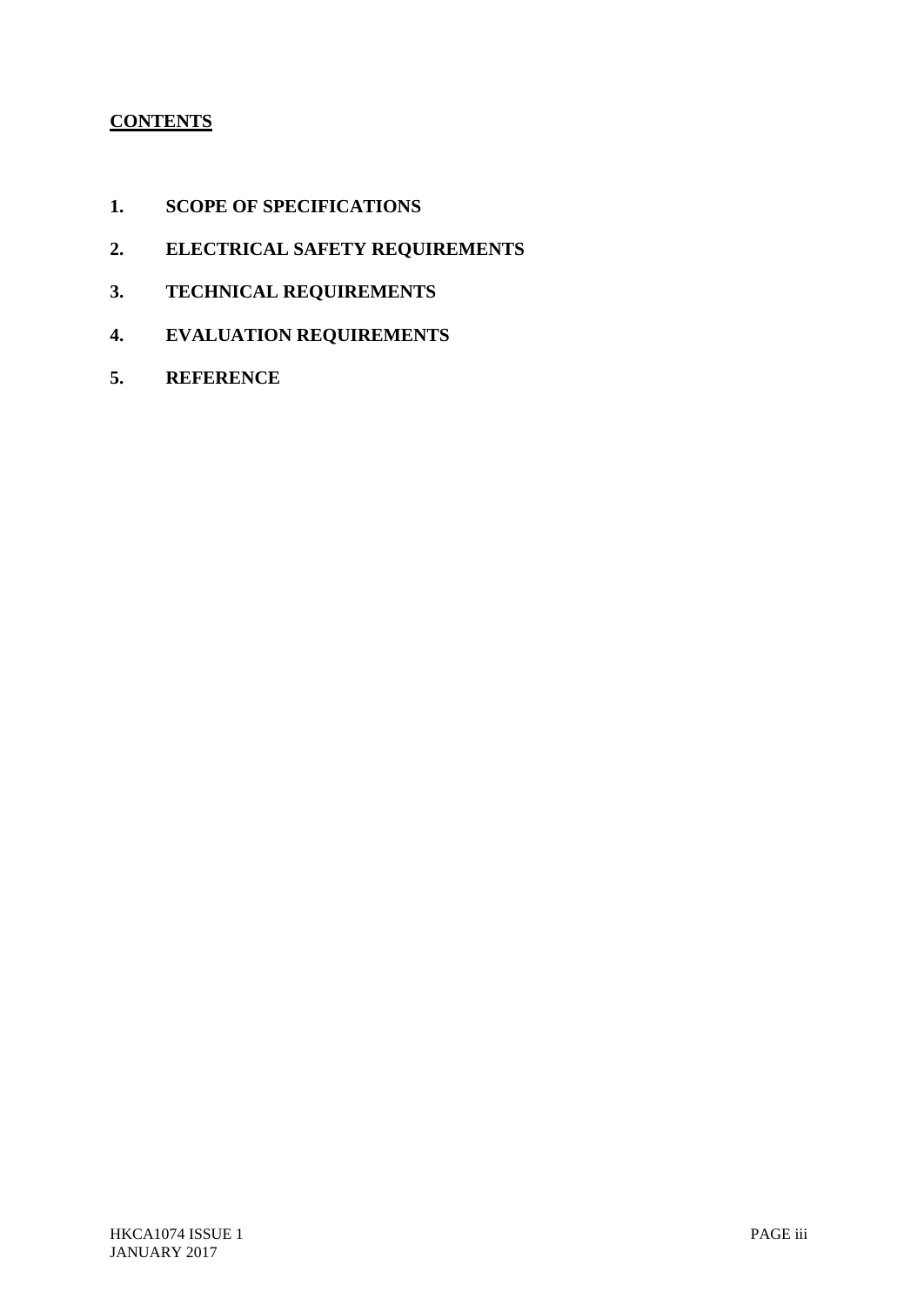# **CONTENTS**

- **1. SCOPE OF SPECIFICATIONS**
- **2. ELECTRICAL SAFETY REQUIREMENTS**
- **3. TECHNICAL REQUIREMENTS**
- **4. EVALUATION REQUIREMENTS**
- **5. REFERENCE**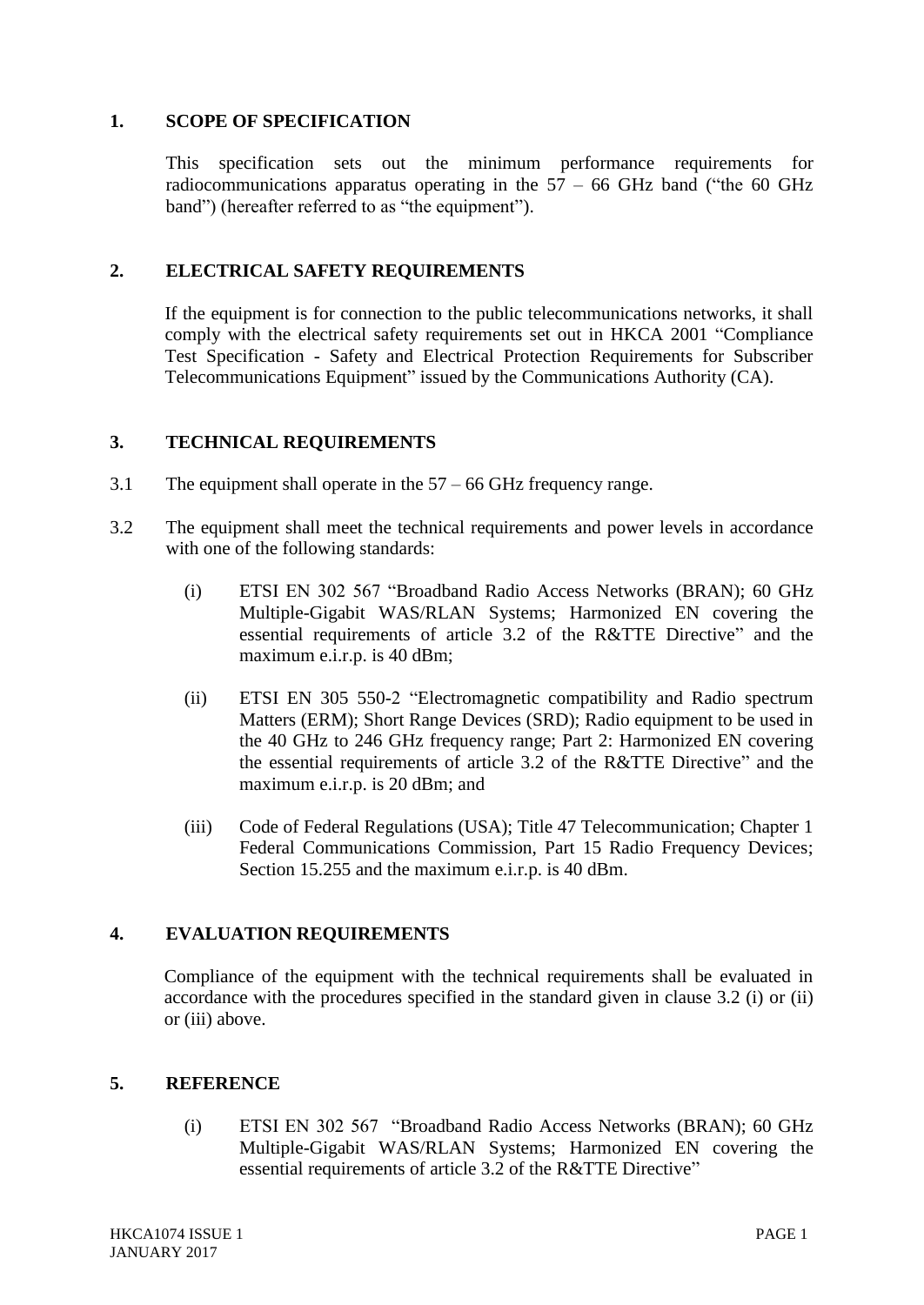#### **1. SCOPE OF SPECIFICATION**

This specification sets out the minimum performance requirements for radiocommunications apparatus operating in the  $57 - 66$  GHz band ("the 60 GHz band") (hereafter referred to as "the equipment").

### **2. ELECTRICAL SAFETY REQUIREMENTS**

If the equipment is for connection to the public telecommunications networks, it shall comply with the electrical safety requirements set out in HKCA 2001 "Compliance Test Specification - Safety and Electrical Protection Requirements for Subscriber Telecommunications Equipment" issued by the Communications Authority (CA).

#### **3. TECHNICAL REQUIREMENTS**

- 3.1 The equipment shall operate in the 57 66 GHz frequency range.
- 3.2 The equipment shall meet the technical requirements and power levels in accordance with one of the following standards:
	- (i) ETSI EN 302 567 "Broadband Radio Access Networks (BRAN); 60 GHz Multiple-Gigabit WAS/RLAN Systems; Harmonized EN covering the essential requirements of article 3.2 of the R&TTE Directive" and the maximum e.i.r.p. is 40 dBm;
	- (ii) ETSI EN 305 550-2 "Electromagnetic compatibility and Radio spectrum Matters (ERM); Short Range Devices (SRD); Radio equipment to be used in the 40 GHz to 246 GHz frequency range; Part 2: Harmonized EN covering the essential requirements of article 3.2 of the R&TTE Directive" and the maximum e.i.r.p. is 20 dBm; and
	- (iii) Code of Federal Regulations (USA); Title 47 Telecommunication; Chapter 1 Federal Communications Commission, Part 15 Radio Frequency Devices; Section 15.255 and the maximum e.i.r.p. is 40 dBm.

## **4. EVALUATION REQUIREMENTS**

Compliance of the equipment with the technical requirements shall be evaluated in accordance with the procedures specified in the standard given in clause 3.2 (i) or (ii) or (iii) above.

#### **5. REFERENCE**

(i) ETSI EN 302 567 "Broadband Radio Access Networks (BRAN); 60 GHz Multiple-Gigabit WAS/RLAN Systems; Harmonized EN covering the essential requirements of article 3.2 of the R&TTE Directive"